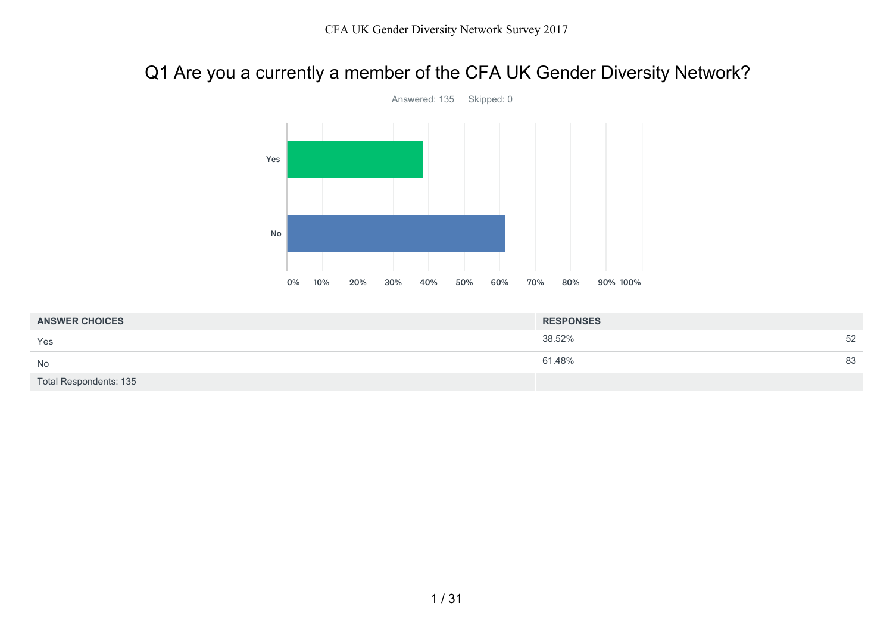# Q1 Are you a currently a member of the CFA UK Gender Diversity Network?



| <b>ANSWER CHOICES</b>         | <b>RESPONSES</b> |    |
|-------------------------------|------------------|----|
| Yes                           | 38.52%           | 52 |
| No                            | 61.48%           | 83 |
| <b>Total Respondents: 135</b> |                  |    |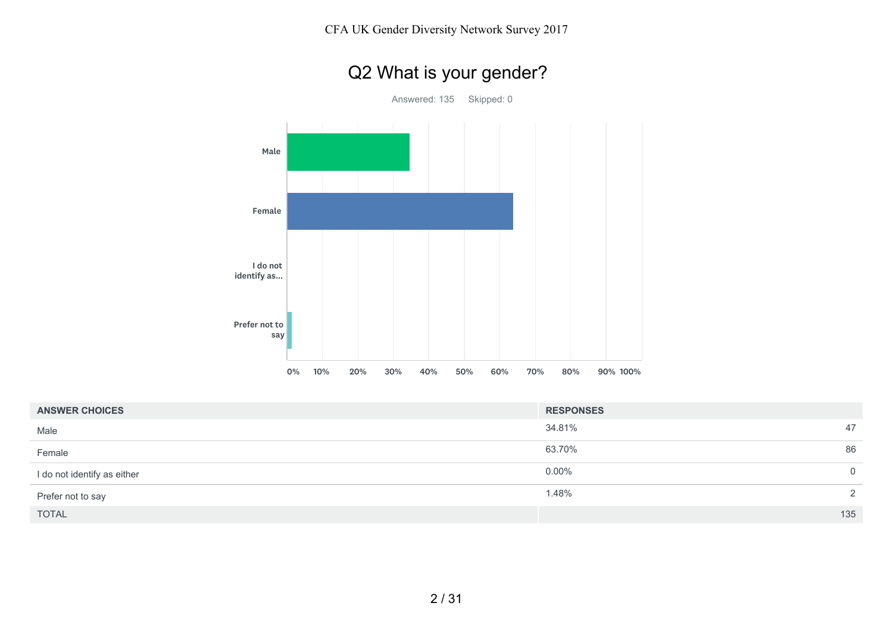

| <b>ANSWER CHOICES</b>       | <b>RESPONSES</b>       |
|-----------------------------|------------------------|
| Male                        | 34.81%<br>47           |
| Female                      | 86<br>63.70%           |
| I do not identify as either | $0.00\%$<br>$\Omega$   |
| Prefer not to say           | 1.48%<br>$\mathcal{D}$ |
| <b>TOTAL</b>                | 135                    |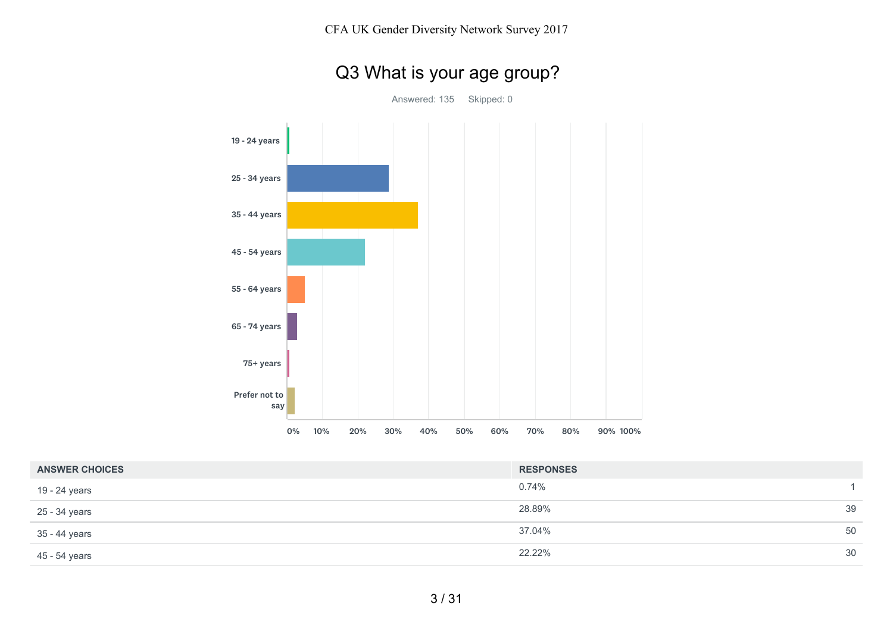# Q3 What is your age group?

Answered: 135 Skipped: 0



| <b>ANSWER CHOICES</b> | <b>RESPONSES</b> |    |
|-----------------------|------------------|----|
| 19 - 24 years         | 0.74%            |    |
| 25 - 34 years         | 28.89%           | 39 |
| 35 - 44 years         | 37.04%           | 50 |
| 45 - 54 years         | 22.22%           | 30 |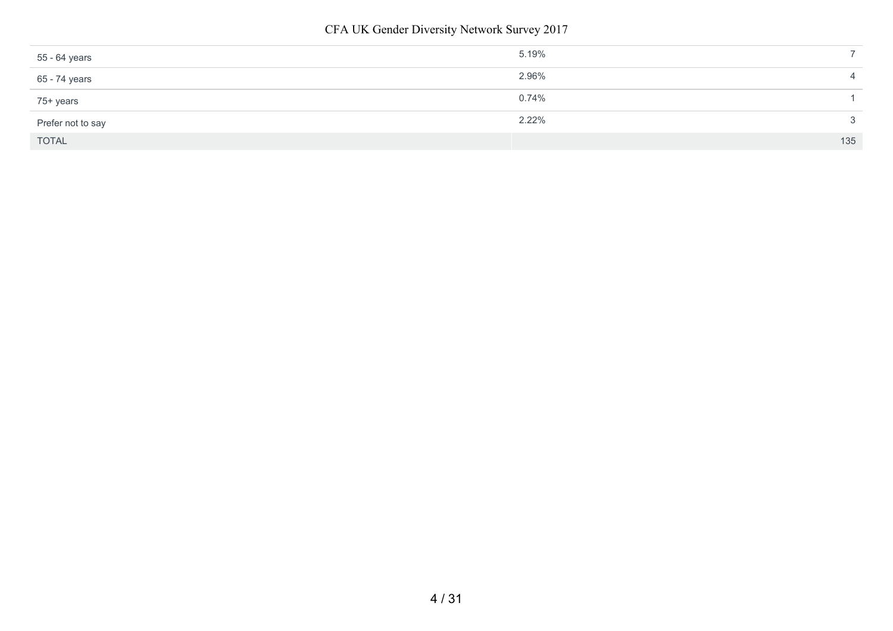CFA UK Gender Diversity Network Survey 2017

| 55 - 64 years     | 5.19% |     |
|-------------------|-------|-----|
| 65 - 74 years     | 2.96% |     |
| 75+ years         | 0.74% |     |
| Prefer not to say | 2.22% | ◠   |
| <b>TOTAL</b>      |       | 135 |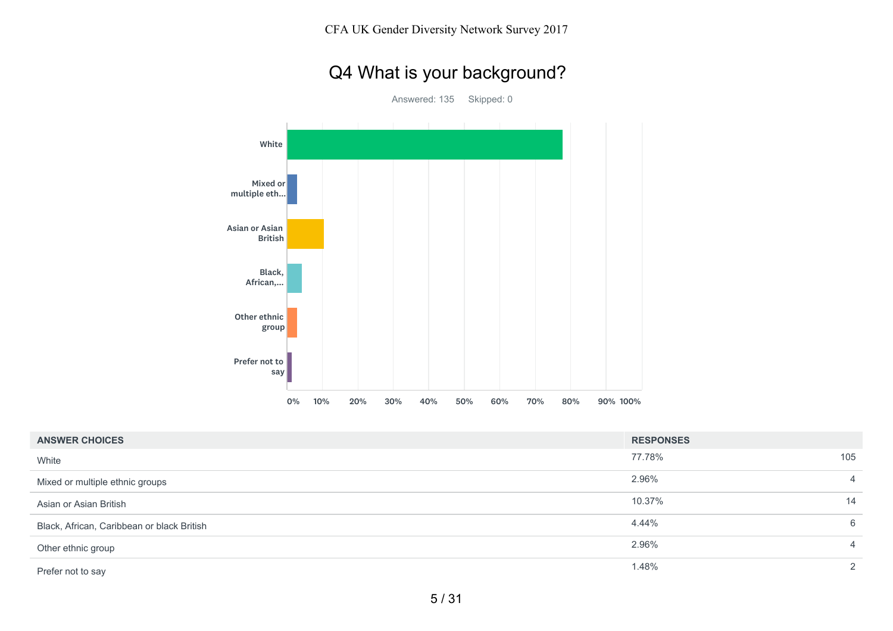# Q4 What is your background?

Answered: 135 Skipped: 0



| <b>ANSWER CHOICES</b>                      | <b>RESPONSES</b> |     |
|--------------------------------------------|------------------|-----|
| White                                      | 77.78%           | 105 |
| Mixed or multiple ethnic groups            | 2.96%            | 4   |
| Asian or Asian British                     | 10.37%           | 14  |
| Black, African, Caribbean or black British | 4.44%            | 6   |
| Other ethnic group                         | 2.96%            | 4   |
| Prefer not to say                          | 1.48%            | ⌒   |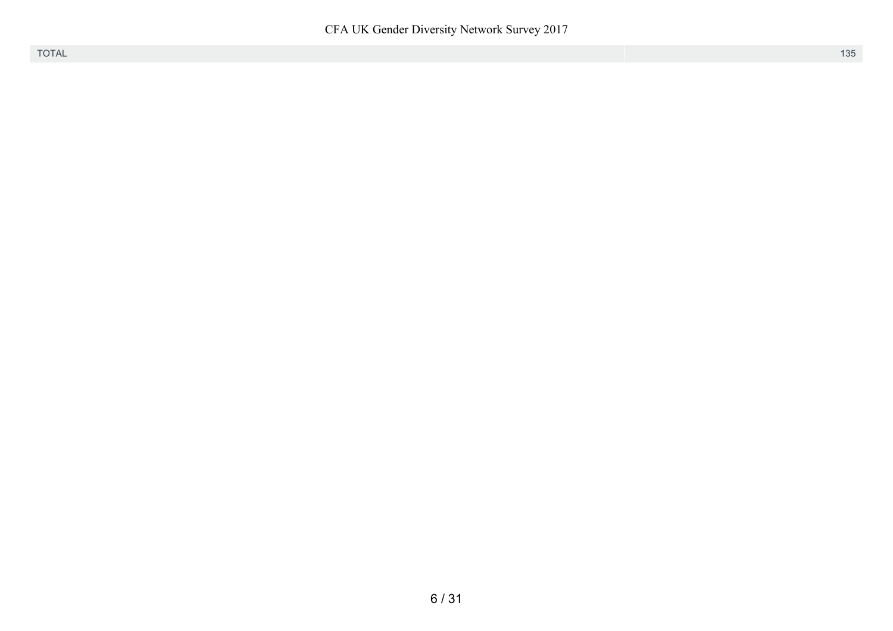CFA UK Gender Diversity Network Survey 2017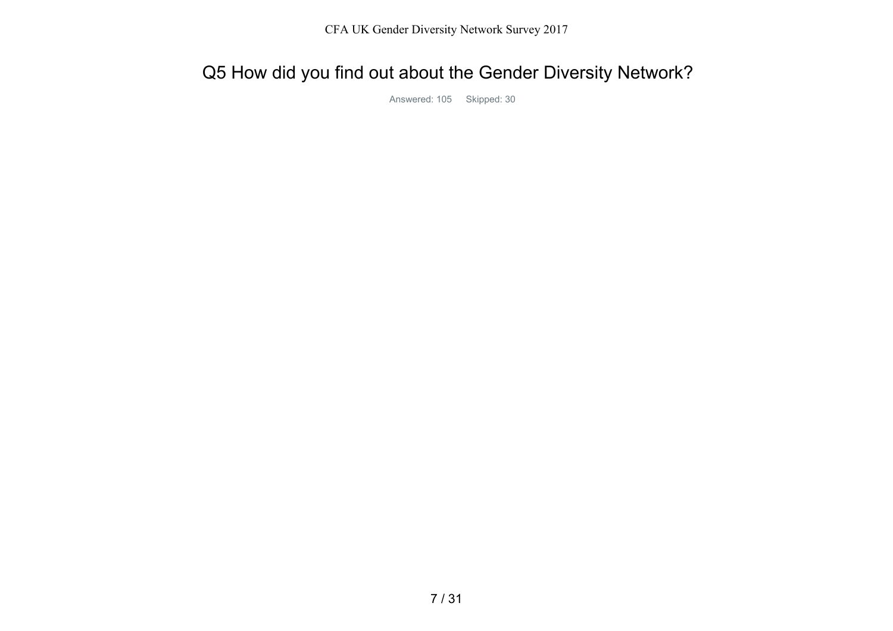# Q5 How did you find out about the Gender Diversity Network?

Answered: 105 Skipped: 30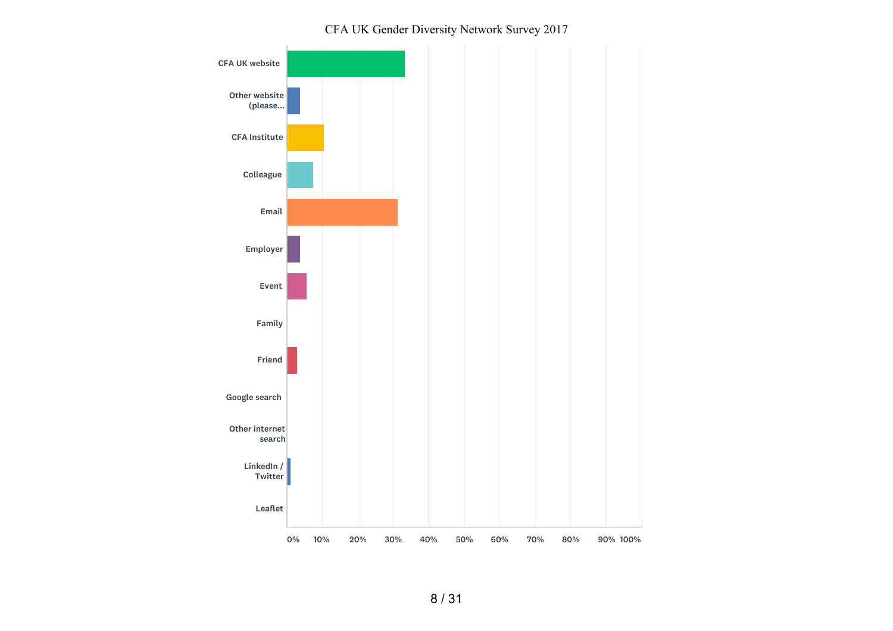#### CFA UK Gender Diversity Network Survey 2017

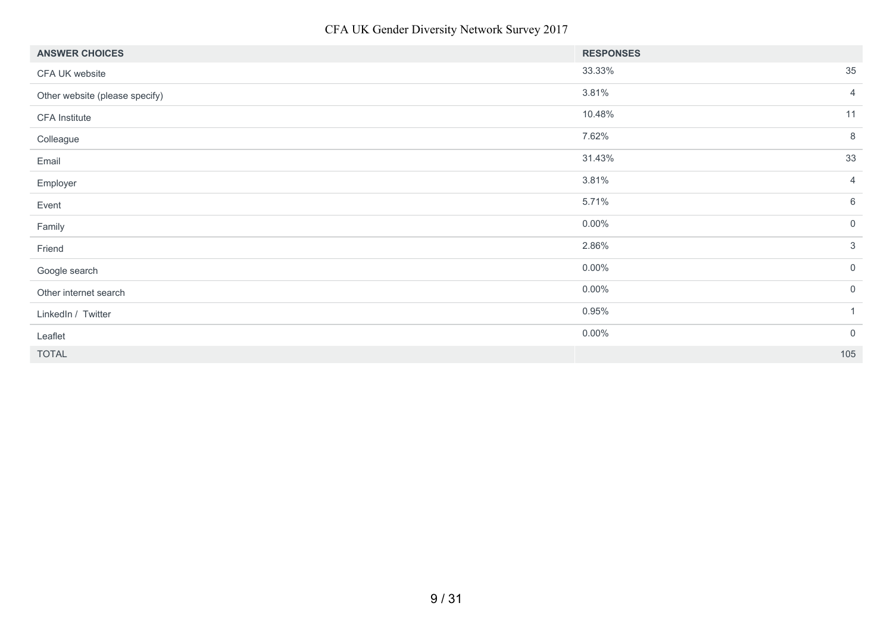CFA UK Gender Diversity Network Survey 2017

| <b>ANSWER CHOICES</b>          | <b>RESPONSES</b> |                 |
|--------------------------------|------------------|-----------------|
| CFA UK website                 | 33.33%           | 35              |
| Other website (please specify) | 3.81%            | $\overline{4}$  |
| CFA Institute                  | 10.48%           | 11              |
| Colleague                      | 7.62%            | 8               |
| Email                          | 31.43%           | 33              |
| Employer                       | 3.81%            | $\overline{4}$  |
| Event                          | 5.71%            | $6\phantom{.}6$ |
| Family                         | $0.00\%$         | $\overline{0}$  |
| Friend                         | 2.86%            | $\mathbf{3}$    |
| Google search                  | $0.00\%$         | $\mathsf 0$     |
| Other internet search          | $0.00\%$         | $\mathsf 0$     |
| LinkedIn / Twitter             | 0.95%            | $\mathbf{1}$    |
| Leaflet                        | $0.00\%$         | $\mathbf 0$     |
| <b>TOTAL</b>                   |                  | 105             |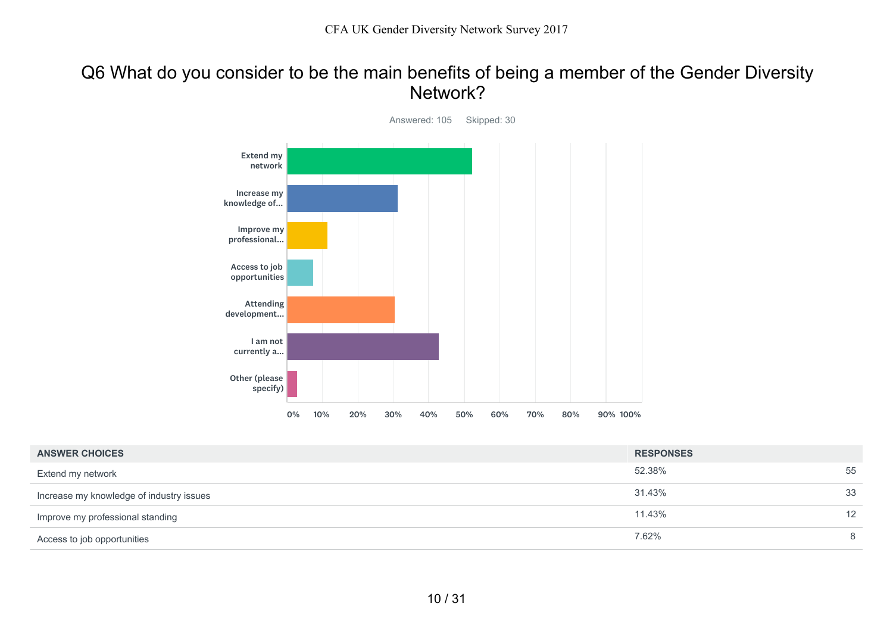#### Q6 What do you consider to be the main benefits of being a member of the Gender Diversity Network?



| <b>ANSWER CHOICES</b>                    | <b>RESPONSES</b> |                 |
|------------------------------------------|------------------|-----------------|
| Extend my network                        | 52.38%           | 55              |
| Increase my knowledge of industry issues | 31.43%           | 33              |
| Improve my professional standing         | 11.43%           | 12 <sup>2</sup> |
| Access to job opportunities              | 7.62%            |                 |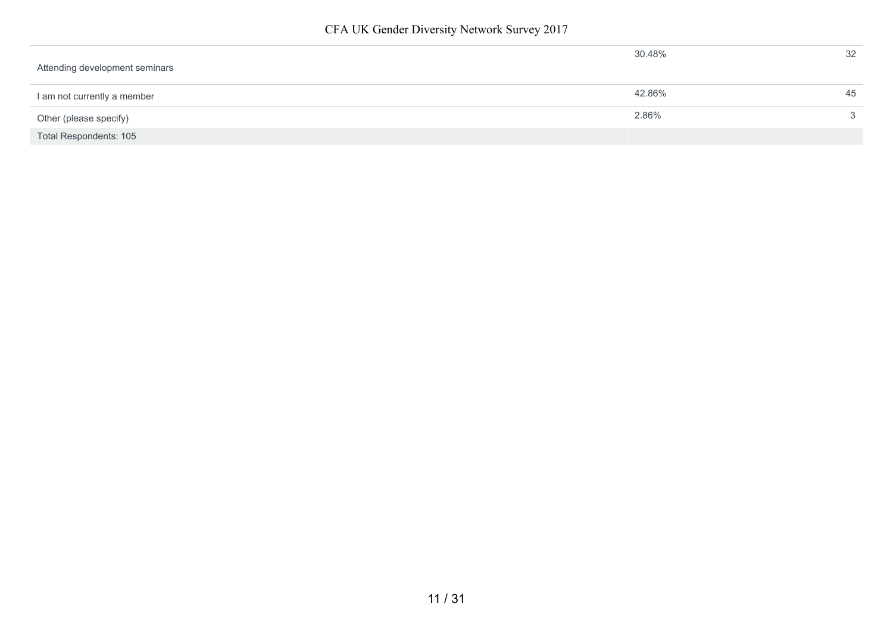| Attending development seminars | 30.48% | 32 |
|--------------------------------|--------|----|
| I am not currently a member    | 42.86% | 45 |
| Other (please specify)         | 2.86%  | 3  |
| <b>Total Respondents: 105</b>  |        |    |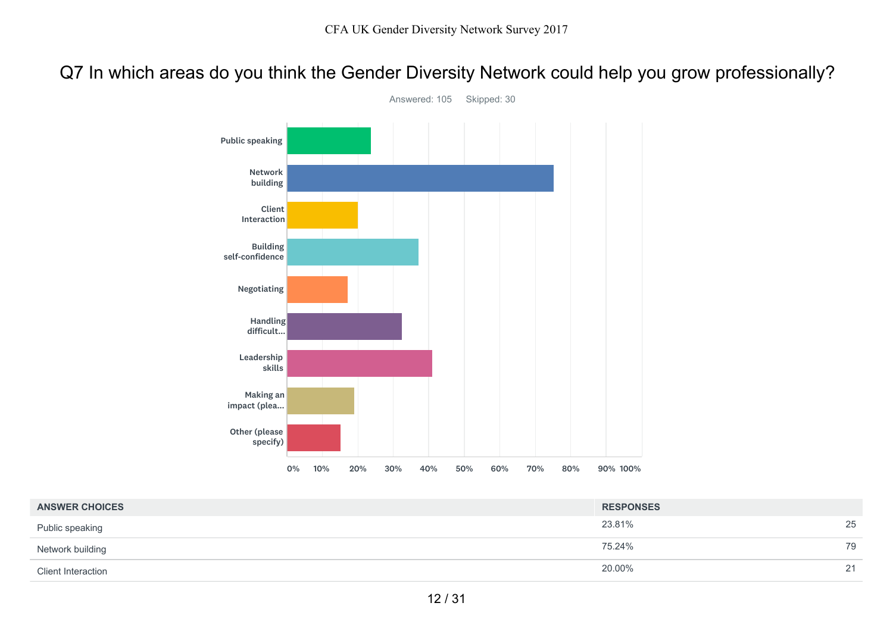Q7 In which areas do you think the Gender Diversity Network could help you grow professionally?



Answered: 105 Skipped: 30

| <b>ANSWER CHOICES</b>     | <b>RESPONSES</b> |         |
|---------------------------|------------------|---------|
| Public speaking           | 23.81%           | 25      |
| Network building          | 75.24%           | 79      |
| <b>Client Interaction</b> | 20.00%           | 21<br>∼ |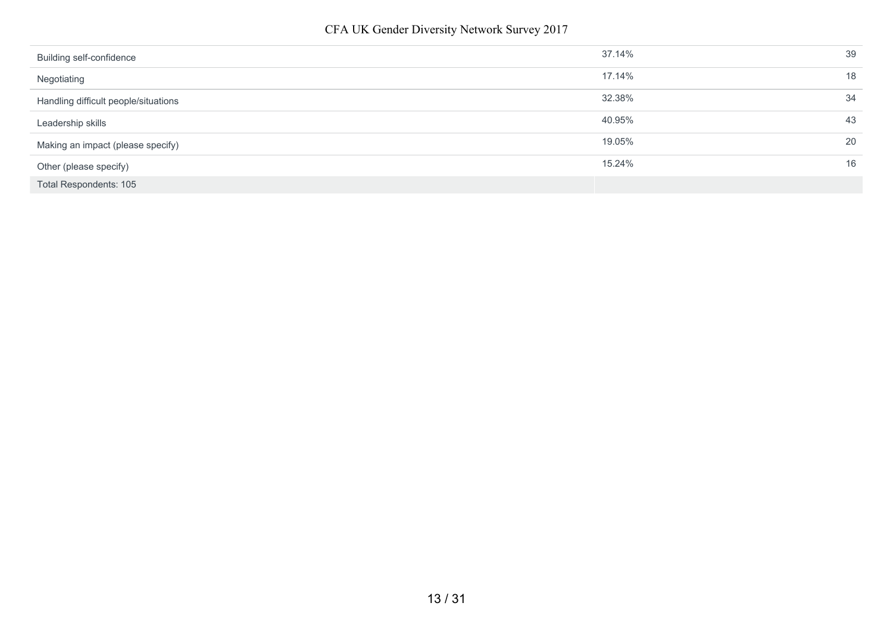| Building self-confidence             | 37.14% | 39 |
|--------------------------------------|--------|----|
| Negotiating                          | 17.14% | 18 |
| Handling difficult people/situations | 32.38% | 34 |
| Leadership skills                    | 40.95% | 43 |
| Making an impact (please specify)    | 19.05% | 20 |
| Other (please specify)               | 15.24% | 16 |
| Total Respondents: 105               |        |    |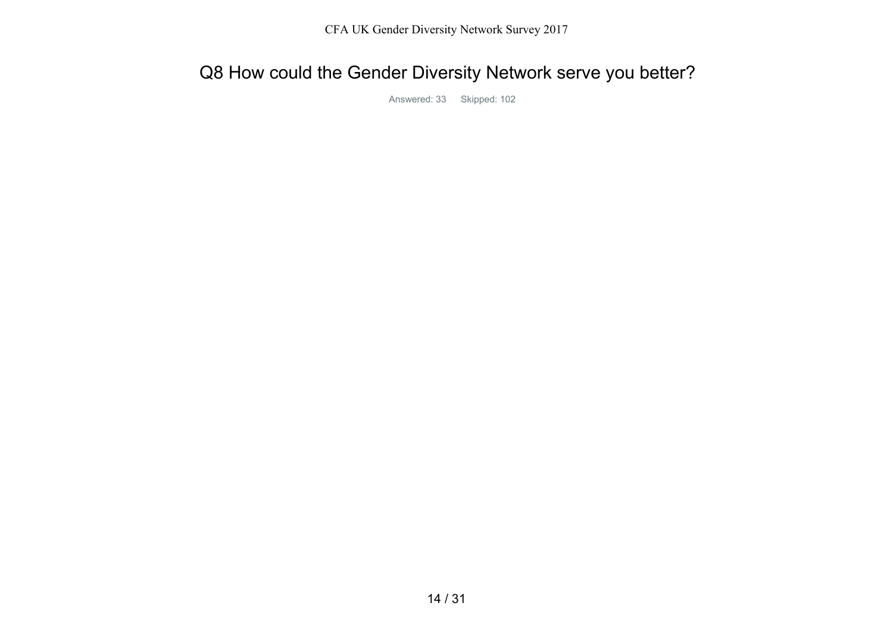# Q8 How could the Gender Diversity Network serve you better?

Answered: 33 Skipped: 102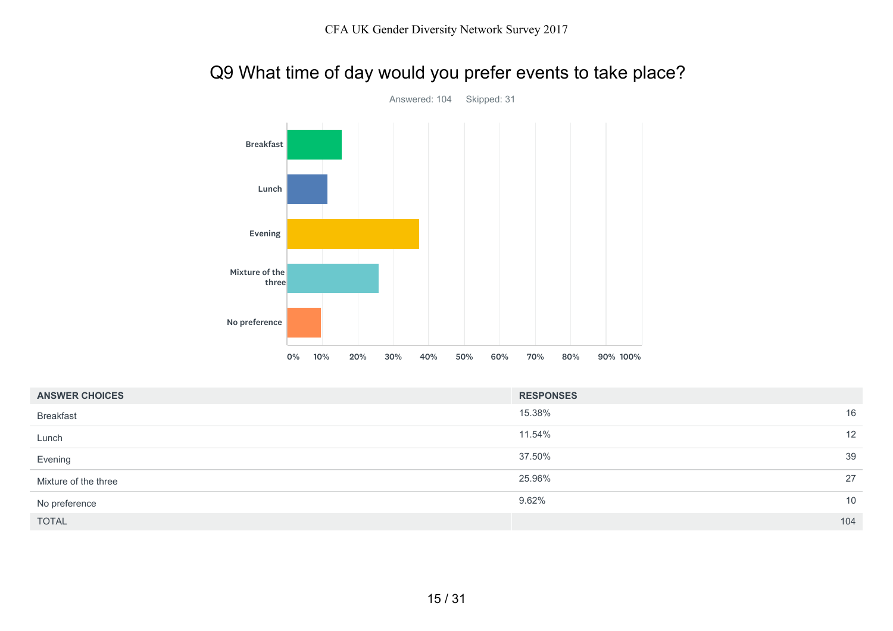# Q9 What time of day would you prefer events to take place?



| <b>ANSWER CHOICES</b> | <b>RESPONSES</b> |
|-----------------------|------------------|
| <b>Breakfast</b>      | 15.38%<br>16     |
| Lunch                 | 12<br>11.54%     |
| Evening               | 39<br>37.50%     |
| Mixture of the three  | 27<br>25.96%     |
| No preference         | 10<br>9.62%      |
| <b>TOTAL</b>          | 104              |

Answered: 104 Skipped: 31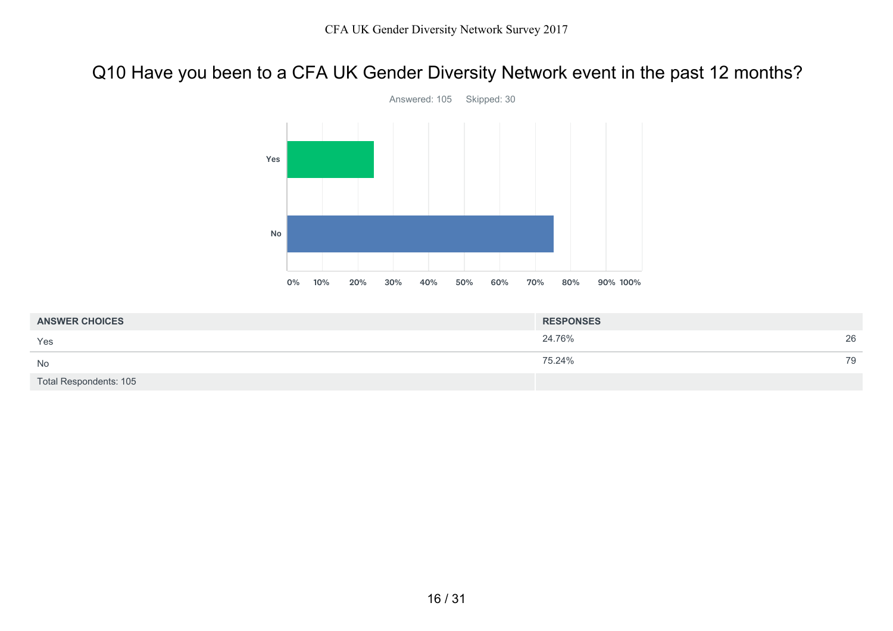## Q10 Have you been to a CFA UK Gender Diversity Network event in the past 12 months?



24.76% 26 75.24% 79 Total Respondents: 105 **ANSWER CHOICES RESPONSES** Yes No

#### Answered: 105 Skipped: 30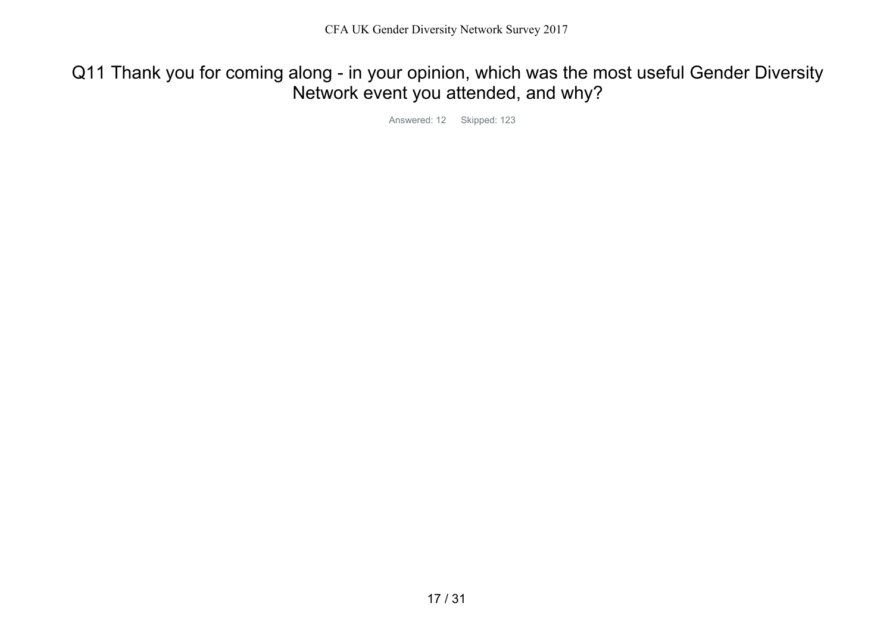Q11 Thank you for coming along - in your opinion, which was the most useful Gender Diversity Network event you attended, and why?

Answered: 12 Skipped: 123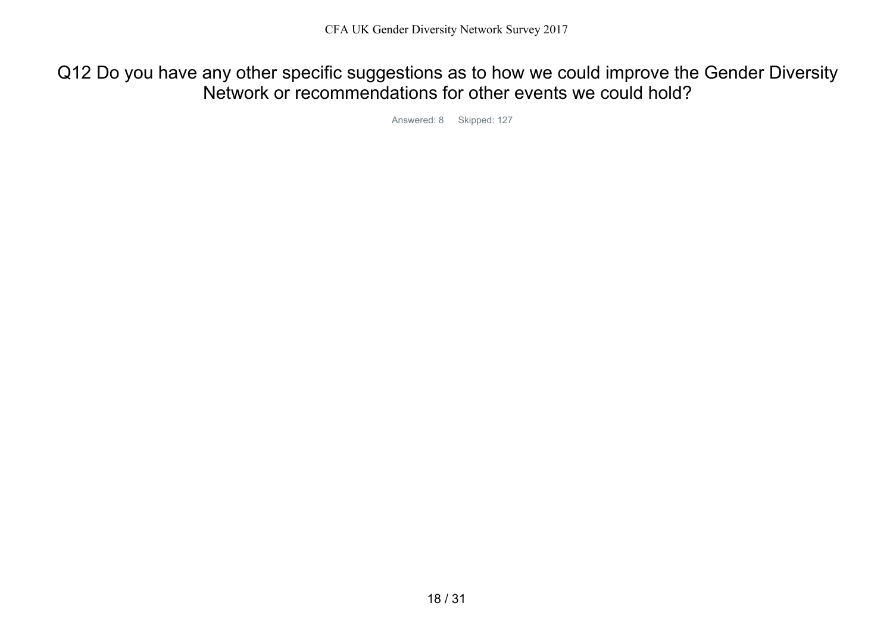Q12 Do you have any other specific suggestions as to how we could improve the Gender Diversity Network or recommendations for other events we could hold?

Answered: 8 Skipped: 127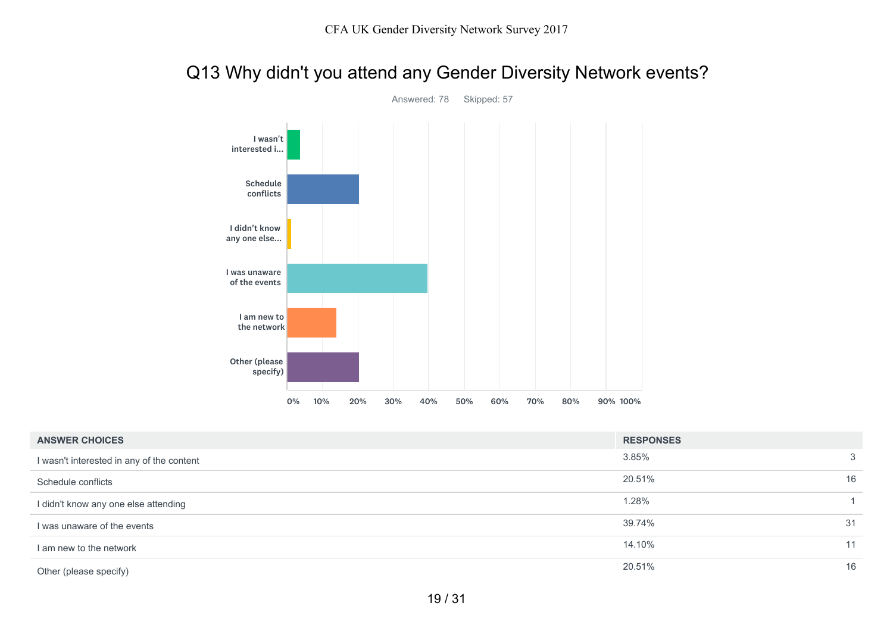## Q13 Why didn't you attend any Gender Diversity Network events?



Answered: 78 Skipped: 57

| <b>ANSWER CHOICES</b>                     | <b>RESPONSES</b> |    |
|-------------------------------------------|------------------|----|
| I wasn't interested in any of the content | 3.85%            | 3  |
| Schedule conflicts                        | 20.51%           | 16 |
| I didn't know any one else attending      | 1.28%            |    |
| I was unaware of the events               | 39.74%           | 31 |
| I am new to the network                   | 14.10%           | 11 |
| Other (please specify)                    | 20.51%           | 16 |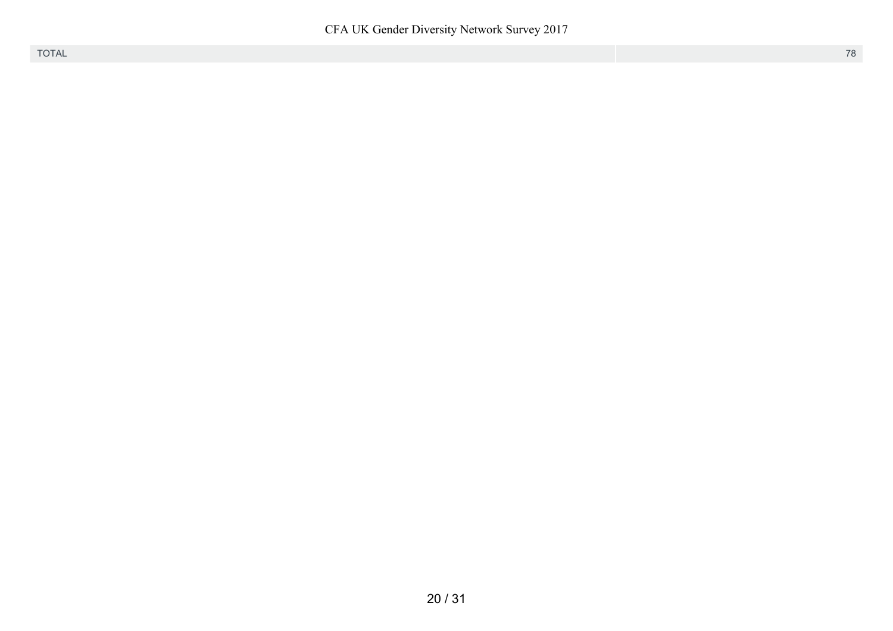CFA UK Gender Diversity Network Survey 2017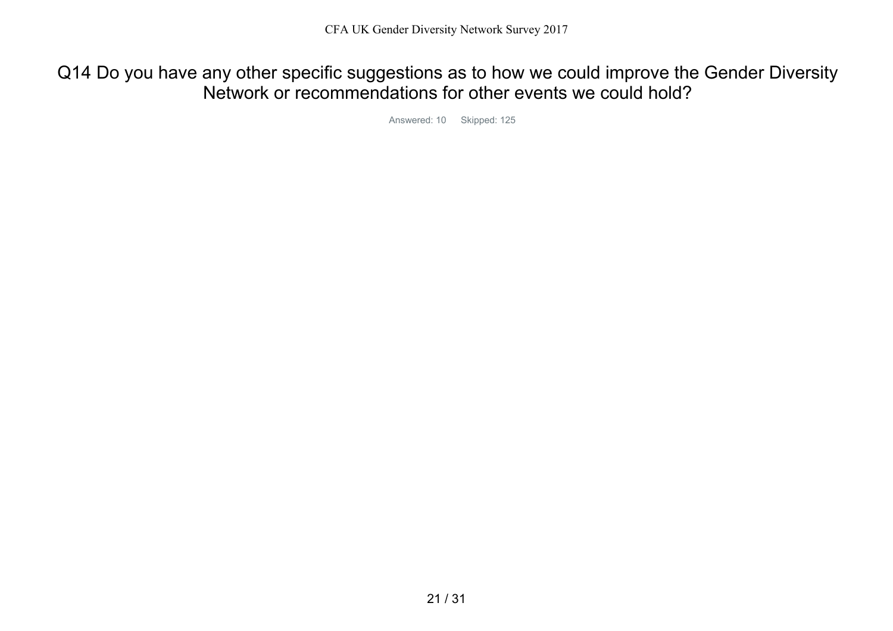Q14 Do you have any other specific suggestions as to how we could improve the Gender Diversity Network or recommendations for other events we could hold?

Answered: 10 Skipped: 125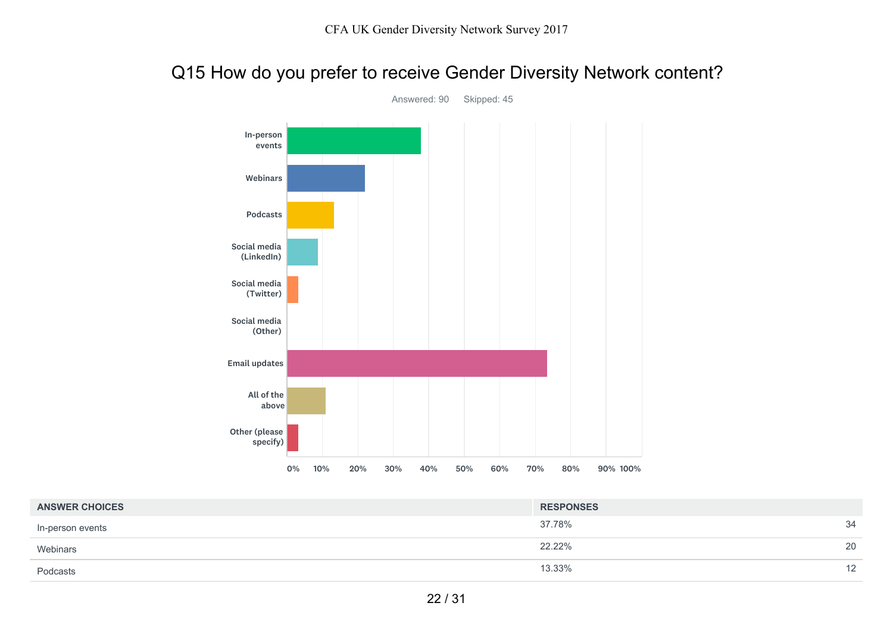### Q15 How do you prefer to receive Gender Diversity Network content?



Answered: 90 Skipped: 45

| <b>ANSWER CHOICES</b> | <b>RESPONSES</b> |    |
|-----------------------|------------------|----|
| In-person events      | 37.78%           | 34 |
| Webinars              | 22.22%           | 20 |
| Podcasts              | 13.33%           | 12 |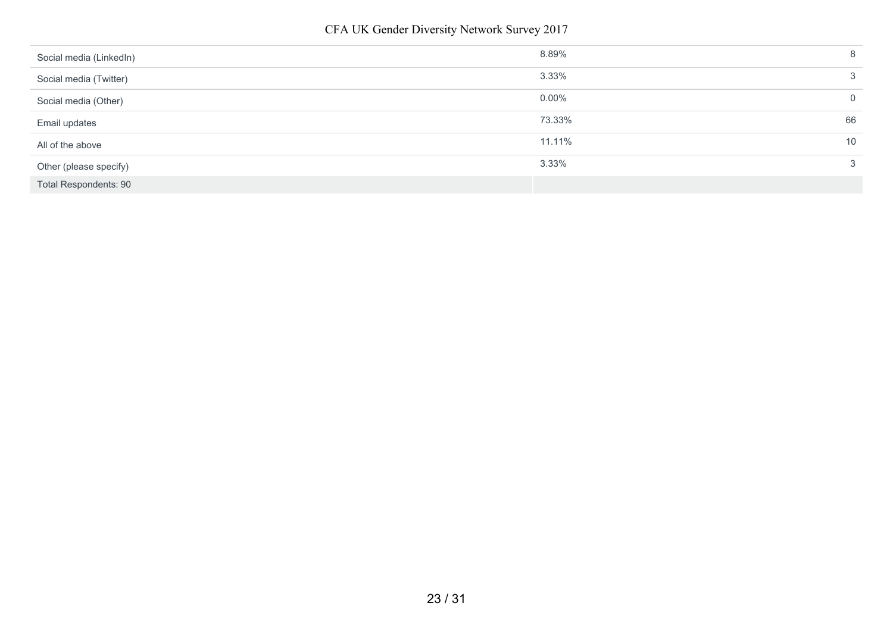| Social media (LinkedIn)      | 8.89%        | 8           |
|------------------------------|--------------|-------------|
| Social media (Twitter)       | 3.33%        | 3           |
| Social media (Other)         | $0.00\%$     | $\mathbf 0$ |
| Email updates                | 73.33%<br>66 |             |
| All of the above             | 11.11%<br>10 |             |
| Other (please specify)       | 3.33%        | 3           |
| <b>Total Respondents: 90</b> |              |             |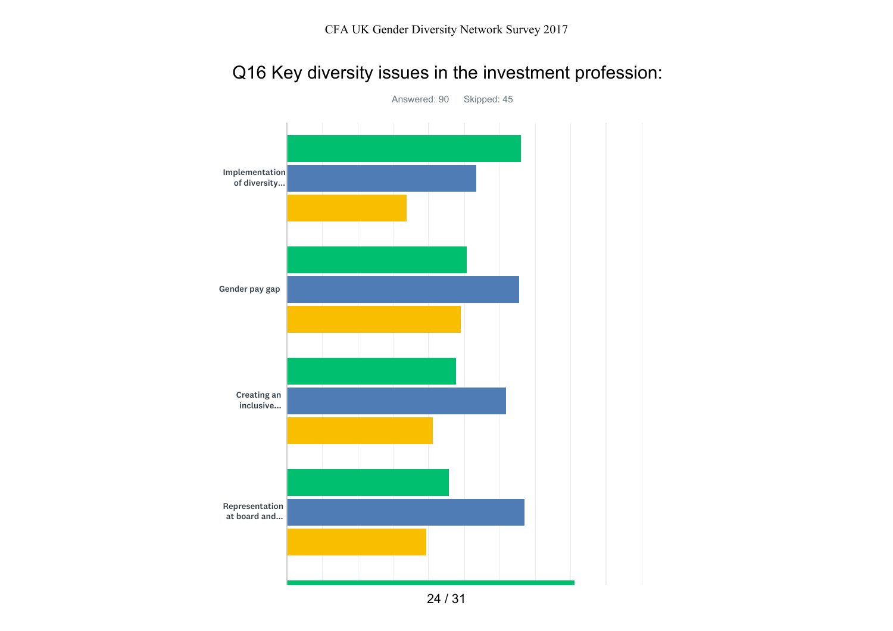# Q16 Key diversity issues in the investment profession:



Answered: 90 Skipped: 45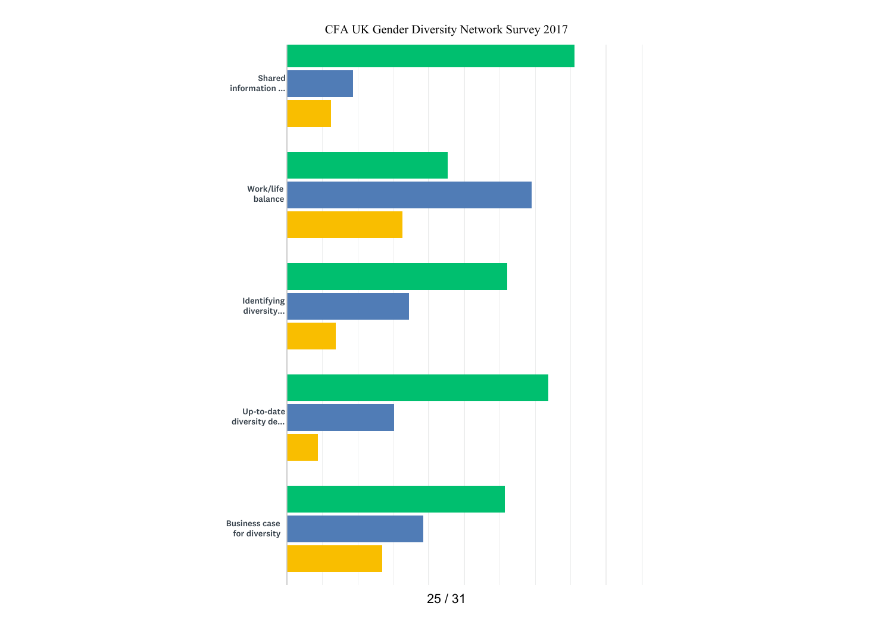CFA UK Gender Diversity Network Survey 2017

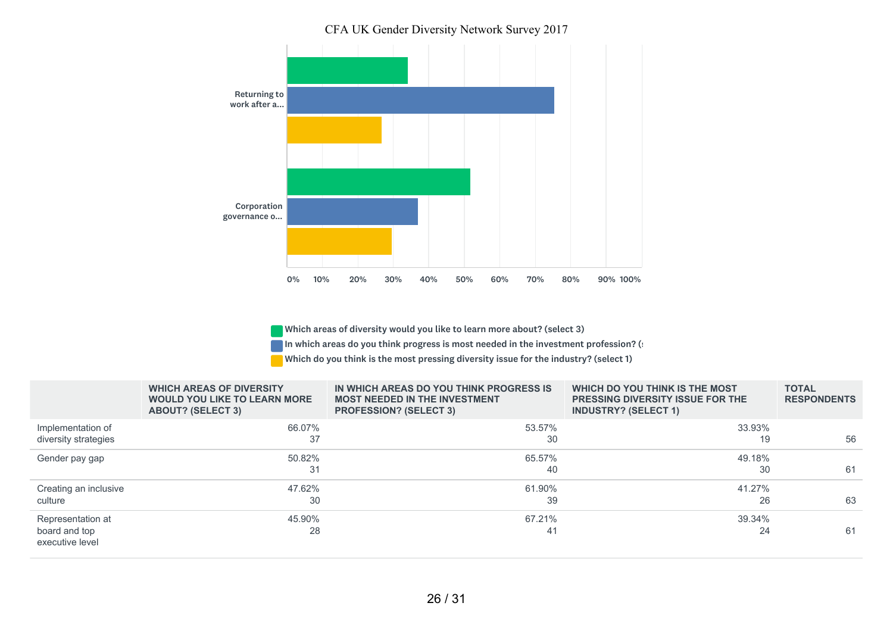CFA UK Gender Diversity Network Survey 2017



Which areas of diversity would you like to learn more about? (select 3)

In which areas do you think progress is most needed in the investment profession? (:

Which do you think is the most pressing diversity issue for the industry? (select 1)

|                                                       | <b>WHICH AREAS OF DIVERSITY</b><br><b>WOULD YOU LIKE TO LEARN MORE</b><br><b>ABOUT? (SELECT 3)</b> | IN WHICH AREAS DO YOU THINK PROGRESS IS<br><b>MOST NEEDED IN THE INVESTMENT</b><br><b>PROFESSION? (SELECT 3)</b> | WHICH DO YOU THINK IS THE MOST<br><b>PRESSING DIVERSITY ISSUE FOR THE</b><br><b>INDUSTRY? (SELECT 1)</b> | <b>TOTAL</b><br><b>RESPONDENTS</b> |
|-------------------------------------------------------|----------------------------------------------------------------------------------------------------|------------------------------------------------------------------------------------------------------------------|----------------------------------------------------------------------------------------------------------|------------------------------------|
| Implementation of<br>diversity strategies             | 66.07%<br>37                                                                                       | 53.57%<br>30                                                                                                     | 33.93%<br>19                                                                                             | 56                                 |
| Gender pay gap                                        | 50.82%<br>31                                                                                       | 65.57%<br>40                                                                                                     | 49.18%<br>30                                                                                             | 61                                 |
| Creating an inclusive<br>culture                      | 47.62%<br>30                                                                                       | 61.90%<br>39                                                                                                     | 41.27%<br>26                                                                                             | 63                                 |
| Representation at<br>board and top<br>executive level | 45.90%<br>28                                                                                       | 67.21%<br>41                                                                                                     | 39.34%<br>24                                                                                             | 61                                 |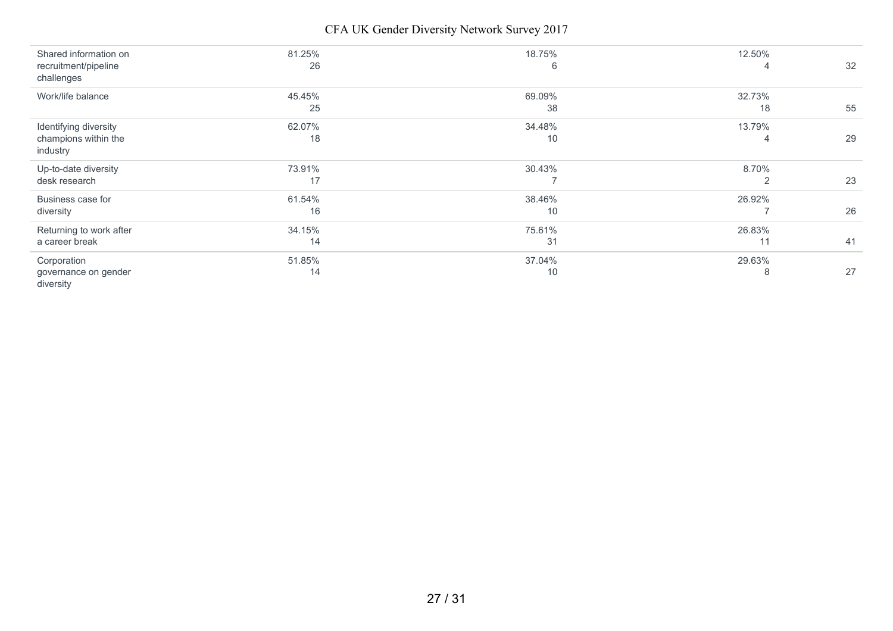CFA UK Gender Diversity Network Survey 2017

| Shared information on<br>recruitment/pipeline | 81.25%<br>26 | 18.75%<br>6 | 12.50%<br>4 | 32 |
|-----------------------------------------------|--------------|-------------|-------------|----|
| challenges                                    |              |             |             |    |
| Work/life balance                             | 45.45%       | 69.09%      | 32.73%      |    |
|                                               | 25           | 38          | 18          | 55 |
| Identifying diversity                         | 62.07%       | 34.48%      | 13.79%      |    |
| champions within the                          | 18           | 10          | 4           | 29 |
| industry                                      |              |             |             |    |
| Up-to-date diversity                          | 73.91%       | 30.43%      | 8.70%       |    |
| desk research                                 | 17           |             | 2           | 23 |
| Business case for                             | 61.54%       | 38.46%      | 26.92%      |    |
| diversity                                     | 16           | 10          |             | 26 |
| Returning to work after                       | 34.15%       | 75.61%      | 26.83%      |    |
| a career break                                | 14           | 31          | 11          | 41 |
| Corporation                                   | 51.85%       | 37.04%      | 29.63%      |    |
| governance on gender<br>diversity             | 14           | 10          | 8           | 27 |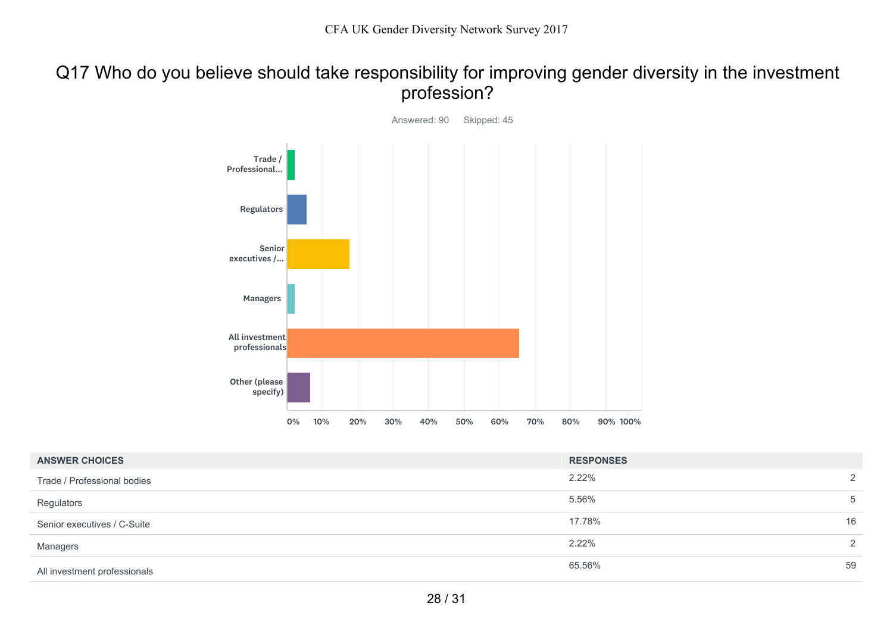### Q17 Who do you believe should take responsibility for improving gender diversity in the investment profession?



| <b>ANSWER CHOICES</b>        | <b>RESPONSES</b> |    |
|------------------------------|------------------|----|
| Trade / Professional bodies  | $2.22\%$         | 2  |
| Regulators                   | 5.56%            | 5  |
| Senior executives / C-Suite  | 17.78%           | 16 |
| Managers                     | $2.22\%$         | 2  |
| All investment professionals | 65.56%           | 59 |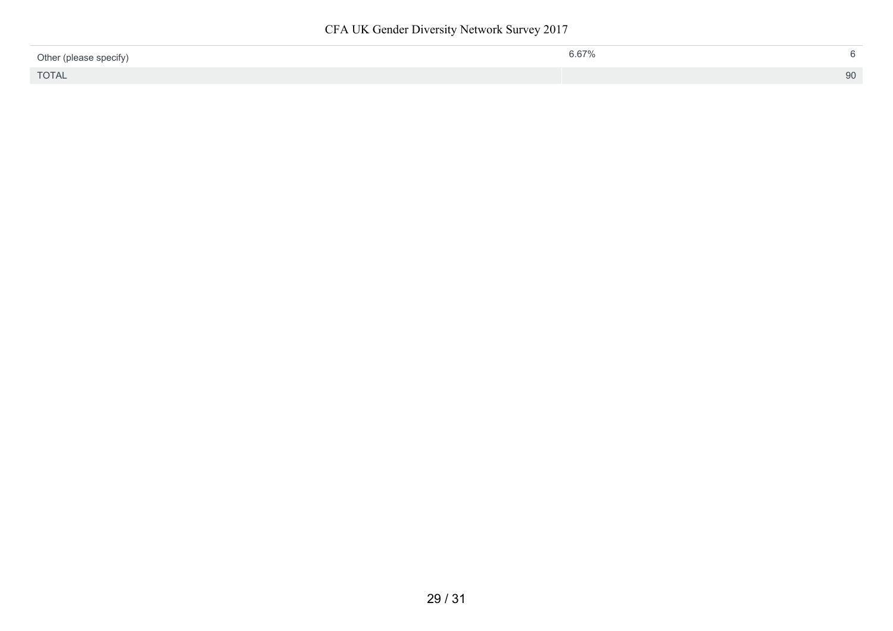CFA UK Gender Diversity Network Survey 2017

| Other (please specify) | 6.67% | 6. |
|------------------------|-------|----|
| <b>TOTAL</b>           |       | 90 |
|                        |       |    |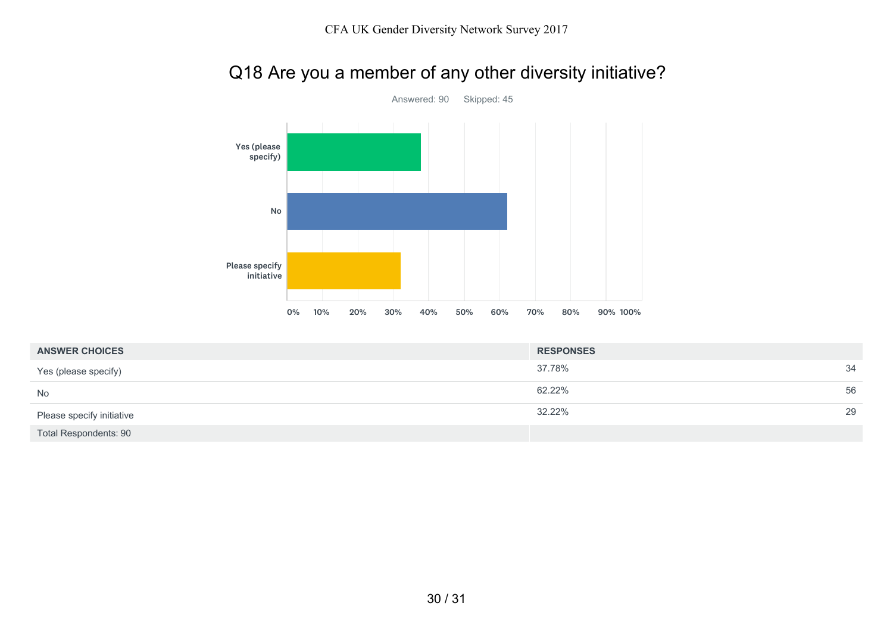# Q18 Are you a member of any other diversity initiative?



| <b>ANSWER CHOICES</b>        | <b>RESPONSES</b> |    |
|------------------------------|------------------|----|
| Yes (please specify)         | 37.78%           | 34 |
| <b>No</b>                    | 62.22%           | 56 |
| Please specify initiative    | 32.22%           | 29 |
| <b>Total Respondents: 90</b> |                  |    |